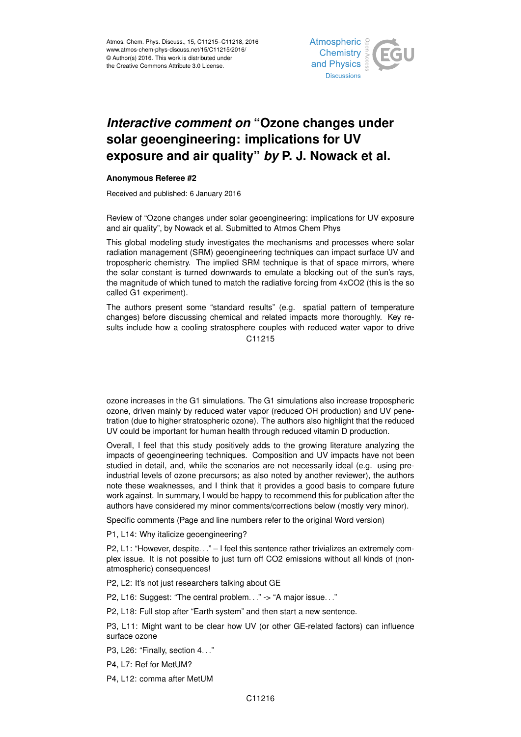

## *Interactive comment on* **"Ozone changes under solar geoengineering: implications for UV exposure and air quality"** *by* **P. J. Nowack et al.**

## **Anonymous Referee #2**

Received and published: 6 January 2016

Review of "Ozone changes under solar geoengineering: implications for UV exposure and air quality", by Nowack et al. Submitted to Atmos Chem Phys

This global modeling study investigates the mechanisms and processes where solar radiation management (SRM) geoengineering techniques can impact surface UV and tropospheric chemistry. The implied SRM technique is that of space mirrors, where the solar constant is turned downwards to emulate a blocking out of the sun's rays, the magnitude of which tuned to match the radiative forcing from 4xCO2 (this is the so called G1 experiment).

The authors present some "standard results" (e.g. spatial pattern of temperature changes) before discussing chemical and related impacts more thoroughly. Key results include how a cooling stratosphere couples with reduced water vapor to drive C11215

ozone increases in the G1 simulations. The G1 simulations also increase tropospheric ozone, driven mainly by reduced water vapor (reduced OH production) and UV penetration (due to higher stratospheric ozone). The authors also highlight that the reduced UV could be important for human health through reduced vitamin D production.

Overall, I feel that this study positively adds to the growing literature analyzing the impacts of geoengineering techniques. Composition and UV impacts have not been studied in detail, and, while the scenarios are not necessarily ideal (e.g. using preindustrial levels of ozone precursors; as also noted by another reviewer), the authors note these weaknesses, and I think that it provides a good basis to compare future work against. In summary, I would be happy to recommend this for publication after the authors have considered my minor comments/corrections below (mostly very minor).

Specific comments (Page and line numbers refer to the original Word version)

P1, L14: Why italicize geoengineering?

P2, L1: "However, despite. . ." – I feel this sentence rather trivializes an extremely complex issue. It is not possible to just turn off CO2 emissions without all kinds of (nonatmospheric) consequences!

P2, L2: It's not just researchers talking about GE

P2, L16: Suggest: "The central problem..." -> "A major issue..."

P2, L18: Full stop after "Earth system" and then start a new sentence.

P3, L11: Might want to be clear how UV (or other GE-related factors) can influence surface ozone

P3, L26: "Finally, section 4. . ."

P4, L7: Ref for MetUM?

P4, L12: comma after MetUM